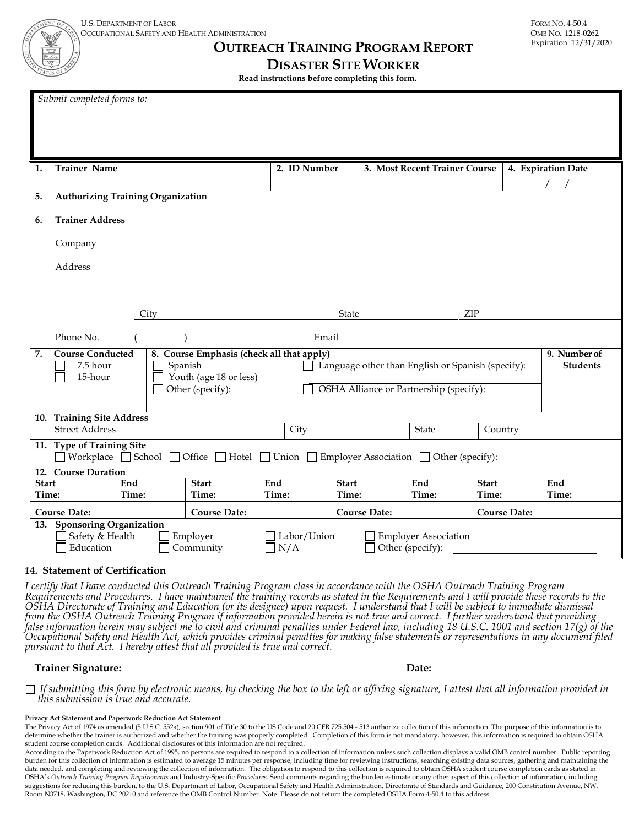**OUTREACH TRAINING PROGRAM REPORT**

## **DISASTER SITE WORKER**

**Read instructions before completing this form.**

| Submit completed forms to:                                                                                                                                    |                                                                                                                                                               |                                                                                                                                     |                                               |                                         |                       |                     |                    |                                 |  |              |  |
|---------------------------------------------------------------------------------------------------------------------------------------------------------------|---------------------------------------------------------------------------------------------------------------------------------------------------------------|-------------------------------------------------------------------------------------------------------------------------------------|-----------------------------------------------|-----------------------------------------|-----------------------|---------------------|--------------------|---------------------------------|--|--------------|--|
| 1.                                                                                                                                                            | <b>Trainer Name</b>                                                                                                                                           |                                                                                                                                     | 3. Most Recent Trainer Course<br>2. ID Number |                                         |                       |                     | 4. Expiration Date |                                 |  |              |  |
| 5.                                                                                                                                                            |                                                                                                                                                               | <b>Authorizing Training Organization</b>                                                                                            |                                               |                                         |                       |                     |                    |                                 |  |              |  |
| 6.                                                                                                                                                            | <b>Trainer Address</b>                                                                                                                                        |                                                                                                                                     |                                               |                                         |                       |                     |                    |                                 |  |              |  |
|                                                                                                                                                               | Company                                                                                                                                                       |                                                                                                                                     |                                               |                                         |                       |                     |                    |                                 |  |              |  |
|                                                                                                                                                               | Address                                                                                                                                                       |                                                                                                                                     |                                               |                                         |                       |                     |                    |                                 |  |              |  |
|                                                                                                                                                               |                                                                                                                                                               |                                                                                                                                     |                                               |                                         |                       |                     |                    |                                 |  |              |  |
|                                                                                                                                                               |                                                                                                                                                               | City                                                                                                                                |                                               |                                         | State                 |                     |                    | ZIP                             |  |              |  |
|                                                                                                                                                               | Phone No.                                                                                                                                                     |                                                                                                                                     |                                               | Email                                   |                       |                     |                    |                                 |  |              |  |
| 7.                                                                                                                                                            | <b>Course Conducted</b><br>7.5 hour<br>15-hour                                                                                                                | 8. Course Emphasis (check all that apply)<br>Spanish<br>Language other than English or Spanish (specify):<br>Youth (age 18 or less) |                                               |                                         |                       |                     |                    | 9. Number of<br><b>Students</b> |  |              |  |
|                                                                                                                                                               |                                                                                                                                                               |                                                                                                                                     | Other (specify):                              | OSHA Alliance or Partnership (specify): |                       |                     |                    |                                 |  |              |  |
| 10. Training Site Address<br><b>Street Address</b>                                                                                                            |                                                                                                                                                               |                                                                                                                                     | City                                          |                                         |                       | State               | Country            |                                 |  |              |  |
|                                                                                                                                                               | 11. Type of Training Site<br>$\Box$ Workplace $\Box$ School $\Box$ Office $\Box$ Hotel $\Box$<br>Union $\Box$<br>Employer Association $\Box$ Other (specify): |                                                                                                                                     |                                               |                                         |                       |                     |                    |                                 |  |              |  |
| 12. Course Duration<br><b>Start</b><br>End<br>Time:                                                                                                           |                                                                                                                                                               | <b>Start</b><br>Time:<br>Time:                                                                                                      |                                               | End<br>Time:                            | <b>Start</b><br>Time: | End<br>Time:        |                    | <b>Start</b><br>Time:           |  | End<br>Time: |  |
| <b>Course Date:</b><br><b>Course Date:</b>                                                                                                                    |                                                                                                                                                               |                                                                                                                                     |                                               | <b>Course Date:</b>                     |                       | <b>Course Date:</b> |                    |                                 |  |              |  |
| 13. Sponsoring Organization<br>Safety & Health<br>Employer<br>Labor/Union<br><b>Employer Association</b><br>Education<br>N/A<br>Other (specify):<br>Community |                                                                                                                                                               |                                                                                                                                     |                                               |                                         |                       |                     |                    |                                 |  |              |  |

#### **14. Statement of Certification**

I certify that I have conducted this Outreach Training Program class in accordance with the OSHA Outreach Training Program<br>Requirements and Procedures. I have maintained the training records as stated in the Requirements a

#### **Trainer Signature: Date:**

*If submitting this form by electronic means, by checking the box to the left or affixing signature, I attest that all information provided in this submission is true and accurate.*

#### **Privacy Act Statement and Paperwork Reduction Act Statement**

The Privacy Act of 1974 as amended (5 U.S.C. 552a), section 901 of Title 30 to the US Code and 20 CFR 725.504 - 513 authorize collection of this information. The purpose of this information is to determine whether the trainer is authorized and whether the training was properly completed. Completion of this form is not mandatory, however, this information is required to obtain OSHA student course completion cards. Additional disclosures of this information are not required.

According to the Paperwork Reduction Act of 1995, no persons are required to respond to a collection of information unless such collection displays a valid OMB control number. Public reporting burden for this collection of information is estimated to average 15 minutes per response, including time for reviewing instructions, searching existing data sources, gathering and maintaining the data needed, and completing and reviewing the collection of information. The obligation to respond to this collection is required to obtain OSHA student course completion cards as stated in OSHA's *Outreach Training Program Requirements* and Industry-Specific *Procedures*. Send comments regarding the burden estimate or any other aspect of this collection of information, including suggestions for reducing this burden, to the U.S. Department of Labor, Occupational Safety and Health Administration, Directorate of Standards and Guidance, 200 Constitution Avenue, NW, Room N3718, Washington, DC 20210 and reference the OMB Control Number. Note: Please do not return the completed OSHA Form 4-50.4 to this address.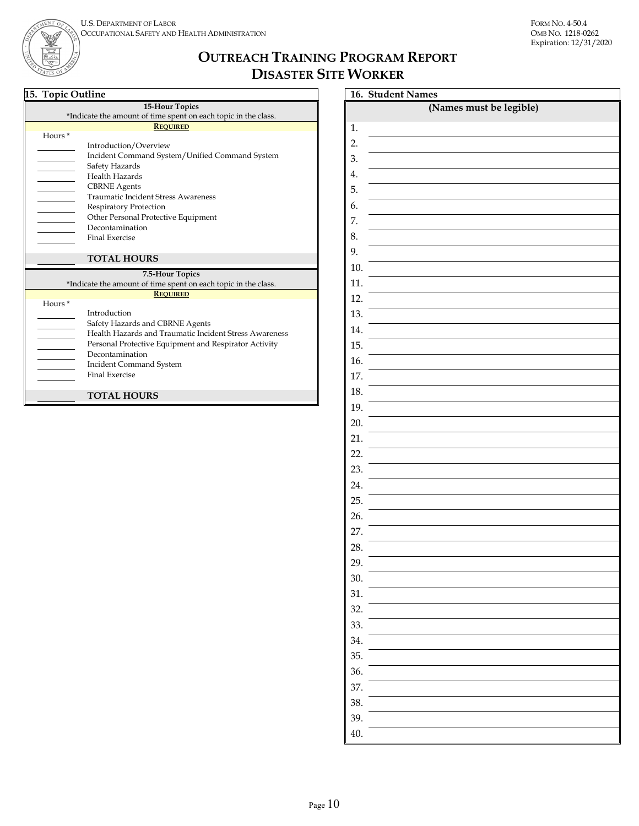**ENT O** 

# **OUTREACH TRAINING PROGRAM REPORT DISASTER SITE WORKER**

|                                                                | 15. Topic Outline                                      |  |  |  |  |  |  |  |
|----------------------------------------------------------------|--------------------------------------------------------|--|--|--|--|--|--|--|
| <b>15-Hour Topics</b>                                          |                                                        |  |  |  |  |  |  |  |
| *Indicate the amount of time spent on each topic in the class. |                                                        |  |  |  |  |  |  |  |
| <b>REQUIRED</b>                                                |                                                        |  |  |  |  |  |  |  |
| Hours <sup>*</sup>                                             |                                                        |  |  |  |  |  |  |  |
|                                                                | Introduction/Overview                                  |  |  |  |  |  |  |  |
|                                                                | Incident Command System/Unified Command System         |  |  |  |  |  |  |  |
|                                                                | Safety Hazards                                         |  |  |  |  |  |  |  |
|                                                                | Health Hazards                                         |  |  |  |  |  |  |  |
|                                                                | <b>CBRNE</b> Agents                                    |  |  |  |  |  |  |  |
|                                                                | <b>Traumatic Incident Stress Awareness</b>             |  |  |  |  |  |  |  |
|                                                                | Respiratory Protection                                 |  |  |  |  |  |  |  |
|                                                                | Other Personal Protective Equipment                    |  |  |  |  |  |  |  |
|                                                                | Decontamination                                        |  |  |  |  |  |  |  |
|                                                                | <b>Final Exercise</b>                                  |  |  |  |  |  |  |  |
|                                                                |                                                        |  |  |  |  |  |  |  |
|                                                                | <b>TOTAL HOURS</b>                                     |  |  |  |  |  |  |  |
|                                                                | 7.5-Hour Topics                                        |  |  |  |  |  |  |  |
| *Indicate the amount of time spent on each topic in the class. |                                                        |  |  |  |  |  |  |  |
|                                                                | <b>REQUIRED</b>                                        |  |  |  |  |  |  |  |
| Hours <sup>*</sup>                                             |                                                        |  |  |  |  |  |  |  |
|                                                                | Introduction                                           |  |  |  |  |  |  |  |
|                                                                | Safety Hazards and CBRNE Agents                        |  |  |  |  |  |  |  |
|                                                                | Health Hazards and Traumatic Incident Stress Awareness |  |  |  |  |  |  |  |
|                                                                | Personal Protective Equipment and Respirator Activity  |  |  |  |  |  |  |  |
|                                                                |                                                        |  |  |  |  |  |  |  |
|                                                                | Decontamination                                        |  |  |  |  |  |  |  |
|                                                                | Incident Command System                                |  |  |  |  |  |  |  |
|                                                                | <b>Final Exercise</b>                                  |  |  |  |  |  |  |  |
|                                                                |                                                        |  |  |  |  |  |  |  |

|     | 16. Student Names       |
|-----|-------------------------|
|     | (Names must be legible) |
| 1.  |                         |
| 2.  |                         |
| 3.  |                         |
| 4.  |                         |
| 5.  |                         |
| 6.  |                         |
| 7.  |                         |
| 8.  |                         |
| 9.  |                         |
| 10. |                         |
| 11. |                         |
| 12. |                         |
| 13. |                         |
| 14. |                         |
| 15. |                         |
| 16. |                         |
| 17. |                         |
| 18. |                         |
| 19. |                         |
| 20. |                         |
| 21. |                         |
| 22. |                         |
| 23. |                         |
| 24. |                         |
| 25. |                         |
| 26. |                         |
| 27. |                         |
| 28. |                         |
| 29. |                         |
| 30. |                         |
| 31. |                         |
| 32. |                         |
| 33. |                         |
| 34. |                         |
| 35. |                         |
| 36. |                         |
| 37. |                         |
| 38. |                         |
| 39. |                         |
| 40. |                         |